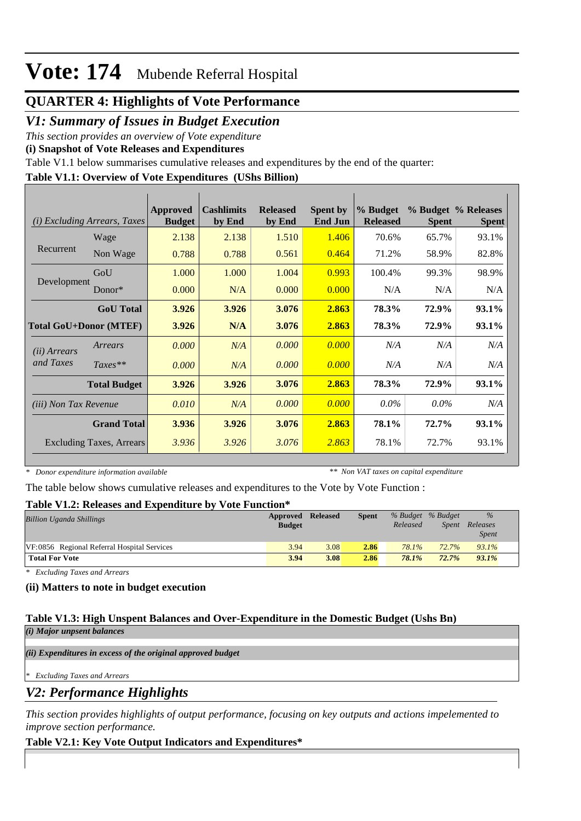## **QUARTER 4: Highlights of Vote Performance**

## *V1: Summary of Issues in Budget Execution*

*This section provides an overview of Vote expenditure* 

**(i) Snapshot of Vote Releases and Expenditures**

Table V1.1 below summarises cumulative releases and expenditures by the end of the quarter:

### **Table V1.1: Overview of Vote Expenditures (UShs Billion)**

|                               | (i) Excluding Arrears, Taxes    | <b>Approved</b><br><b>Budget</b> | <b>Cashlimits</b><br>by End | <b>Released</b><br>by End | <b>Spent by</b><br><b>End Jun</b> | % Budget<br><b>Released</b> | <b>Spent</b> | % Budget % Releases<br><b>Spent</b> |
|-------------------------------|---------------------------------|----------------------------------|-----------------------------|---------------------------|-----------------------------------|-----------------------------|--------------|-------------------------------------|
|                               | Wage                            | 2.138                            | 2.138                       | 1.510                     | 1.406                             | 70.6%                       | 65.7%        | 93.1%                               |
| Recurrent                     | Non Wage                        | 0.788                            | 0.788                       | 0.561                     | 0.464                             | 71.2%                       | 58.9%        | 82.8%                               |
|                               | GoU                             | 1.000                            | 1.000                       | 1.004                     | 0.993                             | 100.4%                      | 99.3%        | 98.9%                               |
| Development                   | $Donor*$                        | 0.000                            | N/A                         | 0.000                     | 0.000                             | N/A                         | N/A          | N/A                                 |
|                               | <b>GoU</b> Total                | 3.926                            | 3.926                       | 3.076                     | 2.863                             | 78.3%                       | 72.9%        | 93.1%                               |
| <b>Total GoU+Donor (MTEF)</b> |                                 | 3.926                            | N/A                         | 3.076                     | 2.863                             | 78.3%                       | 72.9%        | 93.1%                               |
| ( <i>ii</i> ) Arrears         | Arrears                         | 0.000                            | N/A                         | 0.000                     | 0.000                             | N/A                         | N/A          | N/A                                 |
| and Taxes                     | $Taxes**$                       | 0.000                            | N/A                         | 0.000                     | 0.000                             | N/A                         | N/A          | N/A                                 |
|                               | <b>Total Budget</b>             | 3.926                            | 3.926                       | 3.076                     | 2.863                             | 78.3%                       | 72.9%        | 93.1%                               |
| <i>(iii)</i> Non Tax Revenue  |                                 | 0.010                            | N/A                         | 0.000                     | 0.000                             | $0.0\%$                     | $0.0\%$      | N/A                                 |
|                               | <b>Grand Total</b>              | 3.936                            | 3.926                       | 3.076                     | 2.863                             | 78.1%                       | 72.7%        | 93.1%                               |
|                               | <b>Excluding Taxes, Arrears</b> | 3.936                            | 3.926                       | 3.076                     | 2.863                             | 78.1%                       | 72.7%        | 93.1%                               |

*\* Donor expenditure information available*

*\*\* Non VAT taxes on capital expenditure*

The table below shows cumulative releases and expenditures to the Vote by Vote Function :

### **Table V1.2: Releases and Expenditure by Vote Function\***

| <b>Billion Uganda Shillings</b>             | Approved Released<br><b>Budget</b> |      | <b>Spent</b> | Released | % Budget % Budget<br>Spent | $\%$<br>Releases<br><i>Spent</i> |
|---------------------------------------------|------------------------------------|------|--------------|----------|----------------------------|----------------------------------|
| VF:0856 Regional Referral Hospital Services | 3.94                               | 3.08 | 2.86         | 78.1%    | 72.7%                      | 93.1%                            |
| <b>Total For Vote</b>                       | 3.94                               | 3.08 | 2.86         | 78.1%    | 72.7%                      | $93.1\%$                         |

*\* Excluding Taxes and Arrears*

### **(ii) Matters to note in budget execution**

#### **Table V1.3: High Unspent Balances and Over-Expenditure in the Domestic Budget (Ushs Bn)** *(i) Major unpsent balances*

*(ii) Expenditures in excess of the original approved budget*

*\* Excluding Taxes and Arrears*

*V2: Performance Highlights*

*This section provides highlights of output performance, focusing on key outputs and actions impelemented to improve section performance.*

## **Table V2.1: Key Vote Output Indicators and Expenditures\***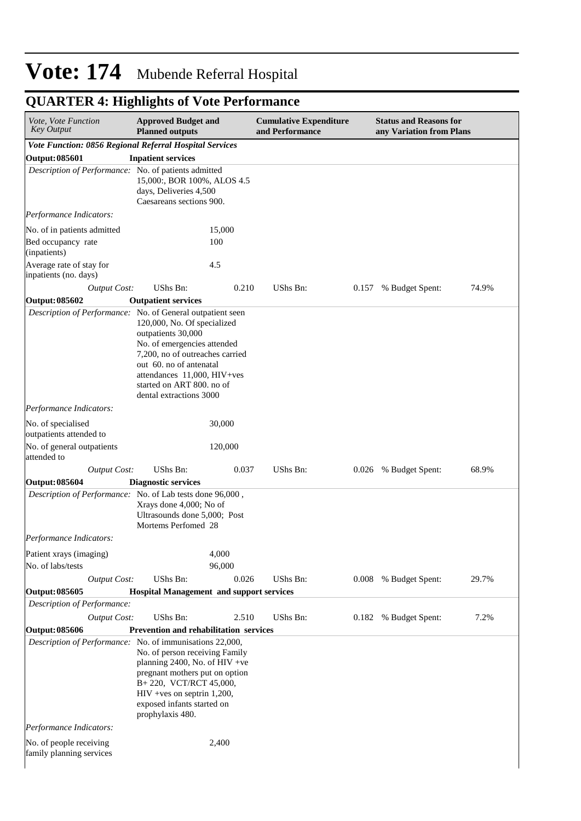| Vote, Vote Function<br><b>Key Output</b>                          | <b>Approved Budget and</b><br><b>Planned outputs</b>                                                                                                                                                                                  |               | <b>Cumulative Expenditure</b><br>and Performance |       | <b>Status and Reasons for</b><br>any Variation from Plans |       |
|-------------------------------------------------------------------|---------------------------------------------------------------------------------------------------------------------------------------------------------------------------------------------------------------------------------------|---------------|--------------------------------------------------|-------|-----------------------------------------------------------|-------|
| Vote Function: 0856 Regional Referral Hospital Services           |                                                                                                                                                                                                                                       |               |                                                  |       |                                                           |       |
| Output: 085601                                                    | <b>Inpatient services</b>                                                                                                                                                                                                             |               |                                                  |       |                                                           |       |
| Description of Performance: No. of patients admitted              | 15,000:, BOR 100%, ALOS 4.5<br>days, Deliveries 4,500<br>Caesareans sections 900.                                                                                                                                                     |               |                                                  |       |                                                           |       |
| Performance Indicators:                                           |                                                                                                                                                                                                                                       |               |                                                  |       |                                                           |       |
| No. of in patients admitted<br>Bed occupancy rate<br>(inpatients) |                                                                                                                                                                                                                                       | 15,000<br>100 |                                                  |       |                                                           |       |
| Average rate of stay for<br>inpatients (no. days)                 |                                                                                                                                                                                                                                       | 4.5           |                                                  |       |                                                           |       |
| <b>Output Cost:</b>                                               | <b>UShs Bn:</b>                                                                                                                                                                                                                       | 0.210         | UShs Bn:                                         | 0.157 | % Budget Spent:                                           | 74.9% |
| <b>Output: 085602</b>                                             | <b>Outpatient services</b>                                                                                                                                                                                                            |               |                                                  |       |                                                           |       |
| Description of Performance: No. of General outpatient seen        | 120,000, No. Of specialized<br>outpatients 30,000<br>No. of emergencies attended<br>7,200, no of outreaches carried<br>out 60. no of antenatal<br>attendances 11,000, HIV+ves<br>started on ART 800. no of<br>dental extractions 3000 |               |                                                  |       |                                                           |       |
| Performance Indicators:                                           |                                                                                                                                                                                                                                       |               |                                                  |       |                                                           |       |
| No. of specialised<br>outpatients attended to                     |                                                                                                                                                                                                                                       | 30,000        |                                                  |       |                                                           |       |
| No. of general outpatients<br>attended to                         |                                                                                                                                                                                                                                       | 120,000       |                                                  |       |                                                           |       |
| <b>Output Cost:</b>                                               | UShs Bn:                                                                                                                                                                                                                              | 0.037         | UShs Bn:                                         | 0.026 | % Budget Spent:                                           | 68.9% |
| <b>Output: 085604</b>                                             | <b>Diagnostic services</b>                                                                                                                                                                                                            |               |                                                  |       |                                                           |       |
| Description of Performance: No. of Lab tests done 96,000,         | Xrays done 4,000; No of<br>Ultrasounds done 5,000; Post<br>Mortems Perfomed 28                                                                                                                                                        |               |                                                  |       |                                                           |       |
| Performance Indicators:                                           |                                                                                                                                                                                                                                       |               |                                                  |       |                                                           |       |
| Patient xrays (imaging)                                           |                                                                                                                                                                                                                                       | 4,000         |                                                  |       |                                                           |       |
| No. of labs/tests                                                 |                                                                                                                                                                                                                                       | 96,000        |                                                  |       |                                                           |       |
| <b>Output Cost:</b>                                               | UShs Bn:                                                                                                                                                                                                                              | 0.026         | UShs Bn:                                         | 0.008 | % Budget Spent:                                           | 29.7% |
| <b>Output: 085605</b>                                             | <b>Hospital Management and support services</b>                                                                                                                                                                                       |               |                                                  |       |                                                           |       |
| Description of Performance:                                       |                                                                                                                                                                                                                                       |               |                                                  |       |                                                           |       |
| <b>Output Cost:</b>                                               | <b>UShs Bn:</b>                                                                                                                                                                                                                       | 2.510         | UShs Bn:                                         | 0.182 | % Budget Spent:                                           | 7.2%  |
| <b>Output: 085606</b>                                             | <b>Prevention and rehabilitation services</b>                                                                                                                                                                                         |               |                                                  |       |                                                           |       |
| Description of Performance: No. of immunisations 22,000,          | No. of person receiving Family<br>planning 2400, No. of HIV +ve<br>pregnant mothers put on option<br>B+220, VCT/RCT 45,000,<br>$HIV + ves$ on septrin 1,200,<br>exposed infants started on<br>prophylaxis 480.                        |               |                                                  |       |                                                           |       |
| Performance Indicators:                                           |                                                                                                                                                                                                                                       |               |                                                  |       |                                                           |       |
| No. of people receiving<br>family planning services               |                                                                                                                                                                                                                                       | 2,400         |                                                  |       |                                                           |       |

## **QUARTER 4: Highlights of Vote Performance**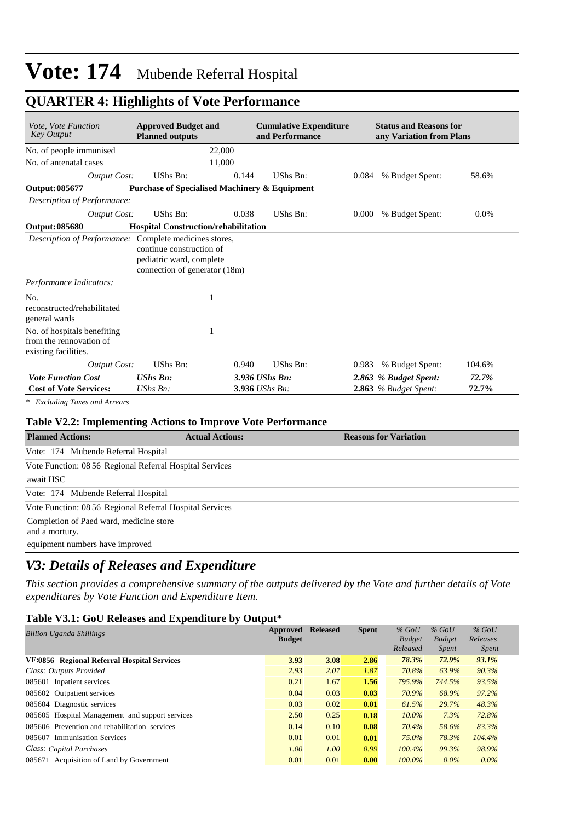## **QUARTER 4: Highlights of Vote Performance**

| Vote, Vote Function<br><b>Key Output</b>                                       | <b>Approved Budget and</b><br><b>Planned outputs</b>                                  |       | <b>Cumulative Expenditure</b><br>and Performance |       | <b>Status and Reasons for</b><br>any Variation from Plans |        |
|--------------------------------------------------------------------------------|---------------------------------------------------------------------------------------|-------|--------------------------------------------------|-------|-----------------------------------------------------------|--------|
| No. of people immunised                                                        | 22,000                                                                                |       |                                                  |       |                                                           |        |
| No. of antenatal cases                                                         | 11,000                                                                                |       |                                                  |       |                                                           |        |
| <b>Output Cost:</b>                                                            | UShs Bn:                                                                              | 0.144 | UShs Bn:                                         | 0.084 | % Budget Spent:                                           | 58.6%  |
| Output: 085677                                                                 | <b>Purchase of Specialised Machinery &amp; Equipment</b>                              |       |                                                  |       |                                                           |        |
| Description of Performance:                                                    |                                                                                       |       |                                                  |       |                                                           |        |
| Output Cost:                                                                   | UShs Bn:                                                                              | 0.038 | UShs Bn:                                         | 0.000 | % Budget Spent:                                           | 0.0%   |
| Output: 085680                                                                 | <b>Hospital Construction/rehabilitation</b>                                           |       |                                                  |       |                                                           |        |
| Description of Performance: Complete medicines stores,                         | continue construction of<br>pediatric ward, complete<br>connection of generator (18m) |       |                                                  |       |                                                           |        |
| Performance Indicators:                                                        |                                                                                       |       |                                                  |       |                                                           |        |
| No.<br>reconstructed/rehabilitated<br>general wards                            |                                                                                       |       |                                                  |       |                                                           |        |
| No. of hospitals benefiting<br>from the rennovation of<br>existing facilities. | 1                                                                                     |       |                                                  |       |                                                           |        |
| <b>Output Cost:</b>                                                            | UShs Bn:                                                                              | 0.940 | UShs Bn:                                         | 0.983 | % Budget Spent:                                           | 104.6% |
| <b>Vote Function Cost</b>                                                      | <b>UShs Bn:</b>                                                                       |       | 3.936 UShs Bn:                                   |       | 2.863 % Budget Spent:                                     | 72.7%  |
| <b>Cost of Vote Services:</b>                                                  | UShs Bn:                                                                              |       | 3.936 UShs Bn:                                   |       | $2.863$ % Budget Spent:                                   | 72.7%  |

*\* Excluding Taxes and Arrears*

#### **Table V2.2: Implementing Actions to Improve Vote Performance**

| <b>Planned Actions:</b>                                   | <b>Actual Actions:</b> | <b>Reasons for Variation</b> |
|-----------------------------------------------------------|------------------------|------------------------------|
| Vote: 174 Mubende Referral Hospital                       |                        |                              |
| Vote Function: 08 56 Regional Referral Hospital Services  |                        |                              |
| await HSC                                                 |                        |                              |
| Vote: 174 Mubende Referral Hospital                       |                        |                              |
| Vote Function: 08 56 Regional Referral Hospital Services  |                        |                              |
| Completion of Paed ward, medicine store<br>and a mortury. |                        |                              |
| equipment numbers have improved                           |                        |                              |

### *V3: Details of Releases and Expenditure*

*This section provides a comprehensive summary of the outputs delivered by the Vote and further details of Vote expenditures by Vote Function and Expenditure Item.*

#### **Table V3.1: GoU Releases and Expenditure by Output\***

| <b>Billion Uganda Shillings</b>                 | Approved      | <b>Released</b> | <b>Spent</b> | $%$ GoU       | $%$ GoU       | $%$ GoU      |
|-------------------------------------------------|---------------|-----------------|--------------|---------------|---------------|--------------|
|                                                 | <b>Budget</b> |                 |              | <b>Budget</b> | <b>Budget</b> | Releases     |
|                                                 |               |                 |              | Released      | <i>Spent</i>  | <i>Spent</i> |
| VF:0856 Regional Referral Hospital Services     | 3.93          | 3.08            | 2.86         | 78.3%         | 72.9%         | 93.1%        |
| Class: Outputs Provided                         | 2.93          | 2.07            | 1.87         | 70.8%         | 63.9%         | 90.3%        |
| 085601 Inpatient services                       | 0.21          | 1.67            | 1.56         | 795.9%        | 744.5%        | 93.5%        |
| 085602 Outpatient services                      | 0.04          | 0.03            | 0.03         | 70.9%         | 68.9%         | 97.2%        |
| 085604 Diagnostic services                      | 0.03          | 0.02            | 0.01         | 61.5%         | 29.7%         | 48.3%        |
| 085605 Hospital Management and support services | 2.50          | 0.25            | 0.18         | $10.0\%$      | 7.3%          | 72.8%        |
| 085606 Prevention and rehabilitation services   | 0.14          | 0.10            | 0.08         | 70.4%         | 58.6%         | 83.3%        |
| 085607 Immunisation Services                    | 0.01          | 0.01            | 0.01         | 75.0%         | 78.3%         | 104.4%       |
| Class: Capital Purchases                        | 1.00          | 1.00            | 0.99         | $100.4\%$     | 99.3%         | 98.9%        |
| 085671 Acquisition of Land by Government        | 0.01          | 0.01            | 0.00         | $100.0\%$     | $0.0\%$       | $0.0\%$      |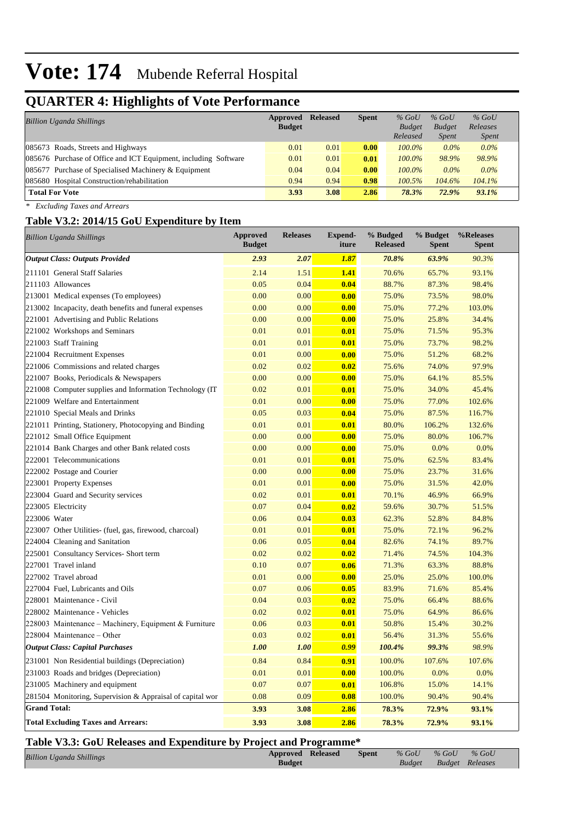## **QUARTER 4: Highlights of Vote Performance**

| <b>Billion Uganda Shillings</b>                                 | Approved      | <b>Released</b> | <b>Spent</b> | $%$ GoU       | $%$ GoU       | $%$ GoU      |  |
|-----------------------------------------------------------------|---------------|-----------------|--------------|---------------|---------------|--------------|--|
|                                                                 | <b>Budget</b> |                 |              | <b>Budget</b> | <b>Budget</b> | Releases     |  |
|                                                                 |               |                 |              | Released      | <i>Spent</i>  | <i>Spent</i> |  |
| 085673 Roads, Streets and Highways                              | 0.01          | 0.01            | 0.00         | $100.0\%$     | $0.0\%$       | $0.0\%$      |  |
| 085676 Purchase of Office and ICT Equipment, including Software | 0.01          | 0.01            | 0.01         | $100.0\%$     | 98.9%         | 98.9%        |  |
| 085677 Purchase of Specialised Machinery & Equipment            | 0.04          | 0.04            | 0.00         | $100.0\%$     | $0.0\%$       | $0.0\%$      |  |
| 085680 Hospital Construction/rehabilitation                     | 0.94          | 0.94            | 0.98         | $100.5\%$     | 104.6%        | 104.1%       |  |
| <b>Total For Vote</b>                                           | 3.93          | 3.08            | 2.86         | 78.3%         | 72.9%         | $93.1\%$     |  |

*\* Excluding Taxes and Arrears*

#### **Table V3.2: 2014/15 GoU Expenditure by Item**

| <b>Billion Uganda Shillings</b>                           | <b>Approved</b><br><b>Budget</b> | <b>Releases</b> | <b>Expend-</b><br>iture | % Budged<br><b>Released</b> | % Budget<br><b>Spent</b> | %Releases<br><b>Spent</b> |
|-----------------------------------------------------------|----------------------------------|-----------------|-------------------------|-----------------------------|--------------------------|---------------------------|
| <b>Output Class: Outputs Provided</b>                     | 2.93                             | 2.07            | 1.87                    | 70.8%                       | 63.9%                    | 90.3%                     |
| 211101 General Staff Salaries                             | 2.14                             | 1.51            | 1.41                    | 70.6%                       | 65.7%                    | 93.1%                     |
| 211103 Allowances                                         | 0.05                             | 0.04            | 0.04                    | 88.7%                       | 87.3%                    | 98.4%                     |
| 213001 Medical expenses (To employees)                    | 0.00                             | 0.00            | 0.00                    | 75.0%                       | 73.5%                    | 98.0%                     |
| 213002 Incapacity, death benefits and funeral expenses    | 0.00                             | 0.00            | 0.00                    | 75.0%                       | 77.2%                    | 103.0%                    |
| 221001 Advertising and Public Relations                   | 0.00                             | 0.00            | 0.00                    | 75.0%                       | 25.8%                    | 34.4%                     |
| 221002 Workshops and Seminars                             | 0.01                             | 0.01            | 0.01                    | 75.0%                       | 71.5%                    | 95.3%                     |
| 221003 Staff Training                                     | 0.01                             | 0.01            | 0.01                    | 75.0%                       | 73.7%                    | 98.2%                     |
| 221004 Recruitment Expenses                               | 0.01                             | 0.00            | 0.00                    | 75.0%                       | 51.2%                    | 68.2%                     |
| 221006 Commissions and related charges                    | 0.02                             | 0.02            | 0.02                    | 75.6%                       | 74.0%                    | 97.9%                     |
| 221007 Books, Periodicals & Newspapers                    | 0.00                             | 0.00            | 0.00                    | 75.0%                       | 64.1%                    | 85.5%                     |
| 221008 Computer supplies and Information Technology (IT   | 0.02                             | 0.01            | 0.01                    | 75.0%                       | 34.0%                    | 45.4%                     |
| 221009 Welfare and Entertainment                          | 0.01                             | 0.00            | 0.00                    | 75.0%                       | 77.0%                    | 102.6%                    |
| 221010 Special Meals and Drinks                           | 0.05                             | 0.03            | 0.04                    | 75.0%                       | 87.5%                    | 116.7%                    |
| 221011 Printing, Stationery, Photocopying and Binding     | 0.01                             | 0.01            | 0.01                    | 80.0%                       | 106.2%                   | 132.6%                    |
| 221012 Small Office Equipment                             | 0.00                             | 0.00            | 0.00                    | 75.0%                       | 80.0%                    | 106.7%                    |
| 221014 Bank Charges and other Bank related costs          | 0.00                             | 0.00            | 0.00                    | 75.0%                       | 0.0%                     | 0.0%                      |
| 222001 Telecommunications                                 | 0.01                             | 0.01            | 0.01                    | 75.0%                       | 62.5%                    | 83.4%                     |
| 222002 Postage and Courier                                | 0.00                             | 0.00            | 0.00                    | 75.0%                       | 23.7%                    | 31.6%                     |
| 223001 Property Expenses                                  | 0.01                             | 0.01            | 0.00                    | 75.0%                       | 31.5%                    | 42.0%                     |
| 223004 Guard and Security services                        | 0.02                             | 0.01            | 0.01                    | 70.1%                       | 46.9%                    | 66.9%                     |
| 223005 Electricity                                        | 0.07                             | 0.04            | 0.02                    | 59.6%                       | 30.7%                    | 51.5%                     |
| 223006 Water                                              | 0.06                             | 0.04            | 0.03                    | 62.3%                       | 52.8%                    | 84.8%                     |
| 223007 Other Utilities- (fuel, gas, firewood, charcoal)   | 0.01                             | 0.01            | 0.01                    | 75.0%                       | 72.1%                    | 96.2%                     |
| 224004 Cleaning and Sanitation                            | 0.06                             | 0.05            | 0.04                    | 82.6%                       | 74.1%                    | 89.7%                     |
| 225001 Consultancy Services- Short term                   | 0.02                             | 0.02            | 0.02                    | 71.4%                       | 74.5%                    | 104.3%                    |
| 227001 Travel inland                                      | 0.10                             | 0.07            | 0.06                    | 71.3%                       | 63.3%                    | 88.8%                     |
| 227002 Travel abroad                                      | 0.01                             | 0.00            | 0.00                    | 25.0%                       | 25.0%                    | 100.0%                    |
| 227004 Fuel, Lubricants and Oils                          | 0.07                             | 0.06            | 0.05                    | 83.9%                       | 71.6%                    | 85.4%                     |
| 228001 Maintenance - Civil                                | 0.04                             | 0.03            | 0.02                    | 75.0%                       | 66.4%                    | 88.6%                     |
| 228002 Maintenance - Vehicles                             | 0.02                             | 0.02            | 0.01                    | 75.0%                       | 64.9%                    | 86.6%                     |
| 228003 Maintenance – Machinery, Equipment & Furniture     | 0.06                             | 0.03            | 0.01                    | 50.8%                       | 15.4%                    | 30.2%                     |
| 228004 Maintenance - Other                                | 0.03                             | 0.02            | 0.01                    | 56.4%                       | 31.3%                    | 55.6%                     |
| <b>Output Class: Capital Purchases</b>                    | 1.00                             | 1.00            | 0.99                    | 100.4%                      | 99.3%                    | 98.9%                     |
| 231001 Non Residential buildings (Depreciation)           | 0.84                             | 0.84            | 0.91                    | 100.0%                      | 107.6%                   | 107.6%                    |
| 231003 Roads and bridges (Depreciation)                   | 0.01                             | 0.01            | 0.00                    | 100.0%                      | 0.0%                     | 0.0%                      |
| 231005 Machinery and equipment                            | 0.07                             | 0.07            | 0.01                    | 106.8%                      | 15.0%                    | 14.1%                     |
| 281504 Monitoring, Supervision & Appraisal of capital wor | 0.08                             | 0.09            | 0.08                    | 100.0%                      | 90.4%                    | 90.4%                     |
| <b>Grand Total:</b>                                       | 3.93                             | 3.08            | 2.86                    | 78.3%                       | 72.9%                    | 93.1%                     |
| <b>Total Excluding Taxes and Arrears:</b>                 | 3.93                             | 3.08            | 2.86                    | 78.3%                       | 72.9%                    | 93.1%                     |

#### **Table V3.3: GoU Releases and Expenditure by Project and Programme\***

| <b>Billion Uganda Shillings</b> | <b>Approved Released</b> | Spent | $\%$ GoU $\%$ GoU $\%$ GoU |                        |  |
|---------------------------------|--------------------------|-------|----------------------------|------------------------|--|
|                                 | <b>Budget</b>            |       |                            | Budget Budget Releases |  |